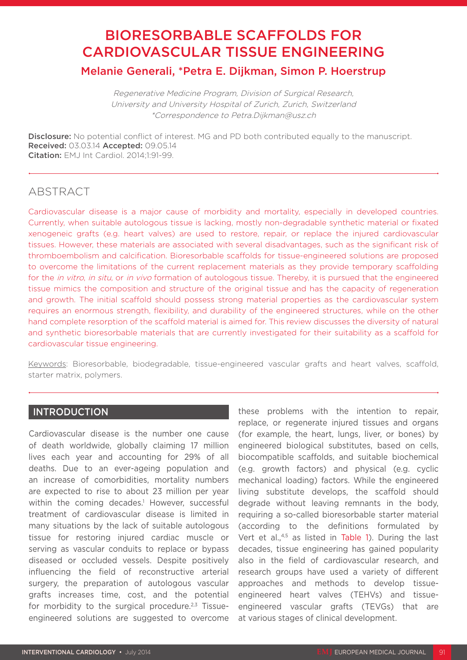# BIORESORBABLE SCAFFOLDS FOR CARDIOVASCULAR TISSUE ENGINEERING Melanie Generali, \*Petra E. Dijkman, Simon P. Hoerstrup

Regenerative Medicine Program, Division of Surgical Research, University and University Hospital of Zurich, Zurich, Switzerland \*Correspondence to Petra.Dijkman@usz.ch

**Disclosure:** No potential conflict of interest. MG and PD both contributed equally to the manuscript. Received: 03.03.14 Accepted: 09.05.14 Citation: EMJ Int Cardiol. 2014;1:91-99.

# **ABSTRACT**

Cardiovascular disease is a major cause of morbidity and mortality, especially in developed countries. Currently, when suitable autologous tissue is lacking, mostly non-degradable synthetic material or fixated xenogeneic grafts (e.g. heart valves) are used to restore, repair, or replace the injured cardiovascular tissues. However, these materials are associated with several disadvantages, such as the significant risk of thromboembolism and calcification. Bioresorbable scaffolds for tissue-engineered solutions are proposed to overcome the limitations of the current replacement materials as they provide temporary scaffolding for the *in vitro, in situ, or in vivo* formation of autologous tissue. Thereby, it is pursued that the engineered tissue mimics the composition and structure of the original tissue and has the capacity of regeneration and growth. The initial scaffold should possess strong material properties as the cardiovascular system requires an enormous strength, flexibility, and durability of the engineered structures, while on the other hand complete resorption of the scaffold material is aimed for. This review discusses the diversity of natural and synthetic bioresorbable materials that are currently investigated for their suitability as a scaffold for cardiovascular tissue engineering.

Keywords: Bioresorbable, biodegradable, tissue-engineered vascular grafts and heart valves, scaffold, starter matrix, polymers.

# INTRODUCTION

Cardiovascular disease is the number one cause of death worldwide, globally claiming 17 million lives each year and accounting for 29% of all deaths. Due to an ever-ageing population and an increase of comorbidities, mortality numbers are expected to rise to about 23 million per year within the coming decades.<sup>1</sup> However, successful treatment of cardiovascular disease is limited in many situations by the lack of suitable autologous tissue for restoring injured cardiac muscle or serving as vascular conduits to replace or bypass diseased or occluded vessels. Despite positively influencing the field of reconstructive arterial surgery, the preparation of autologous vascular grafts increases time, cost, and the potential for morbidity to the surgical procedure.<sup>2,3</sup> Tissueengineered solutions are suggested to overcome

these problems with the intention to repair, replace, or regenerate injured tissues and organs (for example, the heart, lungs, liver, or bones) by engineered biological substitutes, based on cells, biocompatible scaffolds, and suitable biochemical (e.g. growth factors) and physical (e.g. cyclic mechanical loading) factors. While the engineered living substitute develops, the scaffold should degrade without leaving remnants in the body, requiring a so-called bioresorbable starter material (according to the definitions formulated by Vert et al.,<sup>4,5</sup> as listed in Table 1). During the last decades, tissue engineering has gained popularity also in the field of cardiovascular research, and research groups have used a variety of different approaches and methods to develop tissueengineered heart valves (TEHVs) and tissueengineered vascular grafts (TEVGs) that are at various stages of clinical development.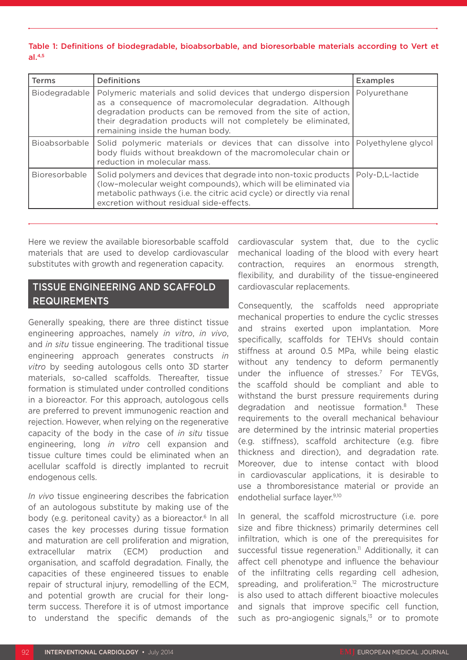#### Table 1: Definitions of biodegradable, bioabsorbable, and bioresorbable materials according to Vert et  $al.4,5$

| <b>Terms</b>  | <b>Definitions</b>                                                                                                                                                                                                                                                                             | <b>Examples</b>     |
|---------------|------------------------------------------------------------------------------------------------------------------------------------------------------------------------------------------------------------------------------------------------------------------------------------------------|---------------------|
| Biodegradable | Polymeric materials and solid devices that undergo dispersion<br>as a consequence of macromolecular degradation. Although<br>degradation products can be removed from the site of action,<br>their degradation products will not completely be eliminated,<br>remaining inside the human body. | Polyurethane        |
| Bioabsorbable | Solid polymeric materials or devices that can dissolve into<br>body fluids without breakdown of the macromolecular chain or<br>reduction in molecular mass.                                                                                                                                    | Polyethylene glycol |
| Bioresorbable | Solid polymers and devices that degrade into non-toxic products  <br>(low-molecular weight compounds), which will be eliminated via<br>metabolic pathways (i.e. the citric acid cycle) or directly via renal<br>excretion without residual side-effects.                                       | Poly-D,L-lactide    |

Here we review the available bioresorbable scaffold materials that are used to develop cardiovascular substitutes with growth and regeneration capacity.

# TISSUE ENGINEERING AND SCAFFOLD REQUIREMENTS

Generally speaking, there are three distinct tissue engineering approaches, namely *in vitro*, *in vivo*, and *in situ* tissue engineering. The traditional tissue engineering approach generates constructs *in vitro* by seeding autologous cells onto 3D starter materials, so-called scaffolds. Thereafter, tissue formation is stimulated under controlled conditions in a bioreactor. For this approach, autologous cells are preferred to prevent immunogenic reaction and rejection. However, when relying on the regenerative capacity of the body in the case of *in situ* tissue engineering, long *in vitro* cell expansion and tissue culture times could be eliminated when an acellular scaffold is directly implanted to recruit endogenous cells.

*In vivo* tissue engineering describes the fabrication of an autologous substitute by making use of the body (e.g. peritoneal cavity) as a bioreactor.<sup>6</sup> In all cases the key processes during tissue formation and maturation are cell proliferation and migration, extracellular matrix (ECM) production and organisation, and scaffold degradation. Finally, the capacities of these engineered tissues to enable repair of structural injury, remodelling of the ECM, and potential growth are crucial for their longterm success. Therefore it is of utmost importance to understand the specific demands of the

cardiovascular system that, due to the cyclic mechanical loading of the blood with every heart contraction, requires an enormous strength, flexibility, and durability of the tissue-engineered cardiovascular replacements.

Consequently, the scaffolds need appropriate mechanical properties to endure the cyclic stresses and strains exerted upon implantation. More specifically, scaffolds for TEHVs should contain stiffness at around 0.5 MPa, while being elastic without any tendency to deform permanently under the influence of stresses.<sup>7</sup> For TEVGs, the scaffold should be compliant and able to withstand the burst pressure requirements during degradation and neotissue formation.8 These requirements to the overall mechanical behaviour are determined by the intrinsic material properties (e.g. stiffness), scaffold architecture (e.g. fibre thickness and direction), and degradation rate. Moreover, due to intense contact with blood in cardiovascular applications, it is desirable to use a thromboresistance material or provide an endothelial surface layer.9,10

In general, the scaffold microstructure (i.e. pore size and fibre thickness) primarily determines cell infiltration, which is one of the prerequisites for successful tissue regeneration.<sup>11</sup> Additionally, it can affect cell phenotype and influence the behaviour of the infiltrating cells regarding cell adhesion, spreading, and proliferation.<sup>12</sup> The microstructure is also used to attach different bioactive molecules and signals that improve specific cell function, such as pro-angiogenic signals, $13$  or to promote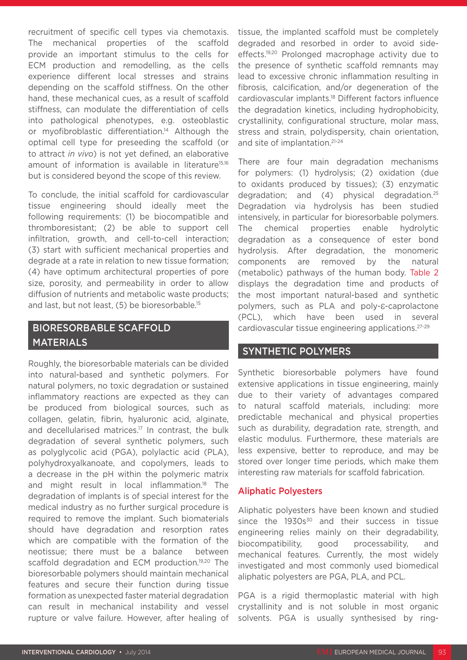recruitment of specific cell types via chemotaxis. The mechanical properties of the scaffold provide an important stimulus to the cells for ECM production and remodelling, as the cells experience different local stresses and strains depending on the scaffold stiffness. On the other hand, these mechanical cues, as a result of scaffold stiffness, can modulate the differentiation of cells into pathological phenotypes, e.g. osteoblastic or myofibroblastic differentiation.<sup>14</sup> Although the optimal cell type for preseeding the scaffold (or to attract *in vivo*) is not yet defined, an elaborative amount of information is available in literature<sup>15,16</sup> but is considered beyond the scope of this review.

To conclude, the initial scaffold for cardiovascular tissue engineering should ideally meet the following requirements: (1) be biocompatible and thromboresistant; (2) be able to support cell infiltration, growth, and cell-to-cell interaction; (3) start with sufficient mechanical properties and degrade at a rate in relation to new tissue formation; (4) have optimum architectural properties of pore size, porosity, and permeability in order to allow diffusion of nutrients and metabolic waste products; and last, but not least, (5) be bioresorbable.15

# BIORESORBABLE SCAFFOLD MATERIALS

Roughly, the bioresorbable materials can be divided into natural-based and synthetic polymers. For natural polymers, no toxic degradation or sustained inflammatory reactions are expected as they can be produced from biological sources, such as collagen, gelatin, fibrin, hyaluronic acid, alginate, and decellularised matrices.<sup>17</sup> In contrast, the bulk degradation of several synthetic polymers, such as polyglycolic acid (PGA), polylactic acid (PLA), polyhydroxyalkanoate, and copolymers, leads to a decrease in the pH within the polymeric matrix and might result in local inflammation.<sup>18</sup> The degradation of implants is of special interest for the medical industry as no further surgical procedure is required to remove the implant. Such biomaterials should have degradation and resorption rates which are compatible with the formation of the neotissue; there must be a balance between scaffold degradation and ECM production.<sup>19,20</sup> The bioresorbable polymers should maintain mechanical features and secure their function during tissue formation as unexpected faster material degradation can result in mechanical instability and vessel rupture or valve failure. However, after healing of

tissue, the implanted scaffold must be completely degraded and resorbed in order to avoid sideeffects.<sup>19,20</sup> Prolonged macrophage activity due to the presence of synthetic scaffold remnants may lead to excessive chronic inflammation resulting in fibrosis, calcification, and/or degeneration of the cardiovascular implants.18 Different factors influence the degradation kinetics, including hydrophobicity, crystallinity, configurational structure, molar mass, stress and strain, polydispersity, chain orientation, and site of implantation.21-24

There are four main degradation mechanisms for polymers: (1) hydrolysis; (2) oxidation (due to oxidants produced by tissues); (3) enzymatic degradation; and (4) physical degradation.25 Degradation via hydrolysis has been studied intensively, in particular for bioresorbable polymers. The chemical properties enable hydrolytic degradation as a consequence of ester bond hydrolysis. After degradation, the monomeric components are removed by the natural (metabolic) pathways of the human body. Table 2 displays the degradation time and products of the most important natural-based and synthetic polymers, such as PLA and poly-ε-caprolactone (PCL), which have been used in several cardiovascular tissue engineering applications.27-29

# SYNTHETIC POLYMERS

Synthetic bioresorbable polymers have found extensive applications in tissue engineering, mainly due to their variety of advantages compared to natural scaffold materials, including: more predictable mechanical and physical properties such as durability, degradation rate, strength, and elastic modulus. Furthermore, these materials are less expensive, better to reproduce, and may be stored over longer time periods, which make them interesting raw materials for scaffold fabrication.

# Aliphatic Polyesters

Aliphatic polyesters have been known and studied since the 1930s<sup>30</sup> and their success in tissue engineering relies mainly on their degradability, biocompatibility, good processability, and mechanical features. Currently, the most widely investigated and most commonly used biomedical aliphatic polyesters are PGA, PLA, and PCL.

PGA is a rigid thermoplastic material with high crystallinity and is not soluble in most organic solvents. PGA is usually synthesised by ring-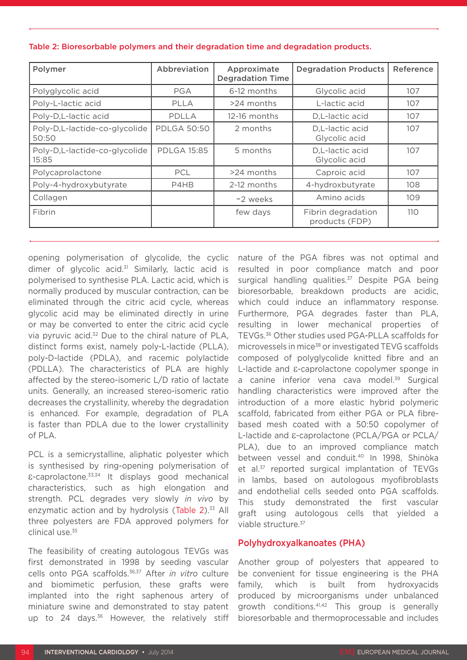| Polymer                                | Abbreviation       | Approximate<br><b>Degradation Time</b> | <b>Degradation Products</b>          | Reference |
|----------------------------------------|--------------------|----------------------------------------|--------------------------------------|-----------|
| Polyglycolic acid                      | PGA                | 6-12 months                            | Glycolic acid                        | 107       |
| Poly-L-lactic acid                     | PLLA               | $>24$ months                           | L-lactic acid                        | 107       |
| Poly-D,L-lactic acid                   | PDLLA              | $12-16$ months                         | D,L-lactic acid                      | 107       |
| Poly-D,L-lactide-co-glycolide<br>50:50 | <b>PDLGA 50:50</b> | 2 months                               | D,L-lactic acid<br>Glycolic acid     | 107       |
| Poly-D,L-lactide-co-glycolide<br>15:85 | <b>PDLGA 15:85</b> | 5 months                               | D,L-lactic acid<br>Glycolic acid     | 107       |
| Polycaprolactone                       | <b>PCL</b>         | $>24$ months                           | Caproic acid                         | 107       |
| Poly-4-hydroxybutyrate                 | P4HB               | 2-12 months                            | 4-hydroxbutyrate                     | 108       |
| Collagen                               |                    | ~2 weeks                               | Amino acids                          | 109       |
| Fibrin                                 |                    | few days                               | Fibrin degradation<br>products (FDP) | 110       |

Table 2: Bioresorbable polymers and their degradation time and degradation products.

opening polymerisation of glycolide, the cyclic dimer of glycolic acid. $31$  Similarly, lactic acid is polymerised to synthesise PLA. Lactic acid, which is normally produced by muscular contraction, can be eliminated through the citric acid cycle, whereas glycolic acid may be eliminated directly in urine or may be converted to enter the citric acid cycle via pyruvic acid.32 Due to the chiral nature of PLA, distinct forms exist, namely poly-L-lactide (PLLA), poly-D-lactide (PDLA), and racemic polylactide (PDLLA). The characteristics of PLA are highly affected by the stereo-isomeric L/D ratio of lactate units. Generally, an increased stereo-isomeric ratio decreases the crystallinity, whereby the degradation is enhanced. For example, degradation of PLA is faster than PDLA due to the lower crystallinity of PLA.

PCL is a semicrystalline, aliphatic polyester which is synthesised by ring-opening polymerisation of ε-caprolactone.33,34 It displays good mechanical characteristics, such as high elongation and strength. PCL degrades very slowly *in vivo* by enzymatic action and by hydrolysis (Table 2).<sup>33</sup> All three polyesters are FDA approved polymers for clinical use.35

The feasibility of creating autologous TEVGs was first demonstrated in 1998 by seeding vascular cells onto PGA scaffolds.36,37 After *in vitro* culture and biomimetic perfusion, these grafts were implanted into the right saphenous artery of miniature swine and demonstrated to stay patent up to 24 days.<sup>36</sup> However, the relatively stiff

nature of the PGA fibres was not optimal and resulted in poor compliance match and poor surgical handling qualities.<sup>37</sup> Despite PGA being bioresorbable, breakdown products are acidic, which could induce an inflammatory response. Furthermore, PGA degrades faster than PLA, resulting in lower mechanical properties of TEVGs.36 Other studies used PGA-PLLA scaffolds for microvessels in mice<sup>38</sup> or investigated TEVG scaffolds composed of polyglycolide knitted fibre and an L-lactide and ε-caprolactone copolymer sponge in a canine inferior vena cava model.<sup>39</sup> Surgical handling characteristics were improved after the introduction of a more elastic hybrid polymeric scaffold, fabricated from either PGA or PLA fibrebased mesh coated with a 50:50 copolymer of L-lactide and ε-caprolactone (PCLA/PGA or PCLA/ PLA), due to an improved compliance match between vessel and conduit.40 In 1998, Shinòka et al.<sup>37</sup> reported surgical implantation of TEVGs in lambs, based on autologous myofibroblasts and endothelial cells seeded onto PGA scaffolds. This study demonstrated the first vascular graft using autologous cells that yielded a viable structure.37

# Polyhydroxyalkanoates (PHA)

Another group of polyesters that appeared to be convenient for tissue engineering is the PHA family, which is built from hydroxyacids produced by microorganisms under unbalanced growth conditions.41,42 This group is generally bioresorbable and thermoprocessable and includes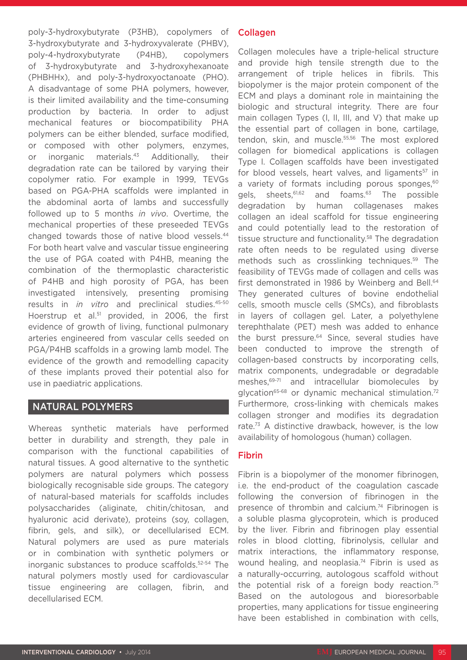poly-3-hydroxybutyrate (P3HB), copolymers of 3-hydroxybutyrate and 3-hydroxyvalerate (PHBV), poly-4-hydroxybutyrate (P4HB), copolymers of 3-hydroxybutyrate and 3-hydroxyhexanoate (PHBHHx), and poly-3-hydroxyoctanoate (PHO). A disadvantage of some PHA polymers, however, is their limited availability and the time-consuming production by bacteria. In order to adjust mechanical features or biocompatibility PHA polymers can be either blended, surface modified, or composed with other polymers, enzymes, or inorganic materials.43 Additionally, their degradation rate can be tailored by varying their copolymer ratio. For example in 1999, TEVGs based on PGA-PHA scaffolds were implanted in the abdominal aorta of lambs and successfully followed up to 5 months *in vivo*. Overtime, the mechanical properties of these preseeded TEVGs changed towards those of native blood vessels.<sup>44</sup> For both heart valve and vascular tissue engineering the use of PGA coated with P4HB, meaning the combination of the thermoplastic characteristic of P4HB and high porosity of PGA, has been investigated intensively, presenting promising results in *in vitro* and preclinical studies.<sup>45-50</sup> Hoerstrup et al.<sup>51</sup> provided, in 2006, the first evidence of growth of living, functional pulmonary arteries engineered from vascular cells seeded on PGA/P4HB scaffolds in a growing lamb model. The evidence of the growth and remodelling capacity of these implants proved their potential also for use in paediatric applications.

# NATURAL POLYMERS

Whereas synthetic materials have performed better in durability and strength, they pale in comparison with the functional capabilities of natural tissues. A good alternative to the synthetic polymers are natural polymers which possess biologically recognisable side groups. The category of natural-based materials for scaffolds includes polysaccharides (aliginate, chitin/chitosan, and hyaluronic acid derivate), proteins (soy, collagen, fibrin, gels, and silk), or decellularised ECM. Natural polymers are used as pure materials or in combination with synthetic polymers or inorganic substances to produce scaffolds.52-54 The natural polymers mostly used for cardiovascular tissue engineering are collagen, fibrin, and decellularised ECM.

# Collagen

Collagen molecules have a triple-helical structure and provide high tensile strength due to the arrangement of triple helices in fibrils. This biopolymer is the major protein component of the ECM and plays a dominant role in maintaining the biologic and structural integrity. There are four main collagen Types (I, II, III, and V) that make up the essential part of collagen in bone, cartilage, tendon, skin, and muscle.<sup>55,56</sup> The most explored collagen for biomedical applications is collagen Type I. Collagen scaffolds have been investigated for blood vessels, heart valves, and ligaments $57$  in a variety of formats including porous sponges,<sup>60</sup> gels, sheets, <sup>61,62</sup> and foams.<sup>63</sup> The possible degradation by human collagenases makes collagen an ideal scaffold for tissue engineering and could potentially lead to the restoration of tissue structure and functionality.<sup>58</sup> The degradation rate often needs to be regulated using diverse methods such as crosslinking techniques.59 The feasibility of TEVGs made of collagen and cells was first demonstrated in 1986 by Weinberg and Bell.<sup>64</sup> They generated cultures of bovine endothelial cells, smooth muscle cells (SMCs), and fibroblasts in layers of collagen gel. Later, a polyethylene terephthalate (PET) mesh was added to enhance the burst pressure.<sup>64</sup> Since, several studies have been conducted to improve the strength of collagen-based constructs by incorporating cells, matrix components, undegradable or degradable meshes,69-71 and intracellular biomolecules by glycation<sup>65-68</sup> or dynamic mechanical stimulation.<sup>72</sup> Furthermore, cross-linking with chemicals makes collagen stronger and modifies its degradation rate.<sup>73</sup> A distinctive drawback, however, is the low availability of homologous (human) collagen.

# Fibrin

Fibrin is a biopolymer of the monomer fibrinogen, i.e. the end-product of the coagulation cascade following the conversion of fibrinogen in the presence of thrombin and calcium.<sup>74</sup> Fibrinogen is a soluble plasma glycoprotein, which is produced by the liver. Fibrin and fibrinogen play essential roles in blood clotting, fibrinolysis, cellular and matrix interactions, the inflammatory response, wound healing, and neoplasia.<sup>74</sup> Fibrin is used as a naturally-occurring, autologous scaffold without the potential risk of a foreign body reaction.75 Based on the autologous and bioresorbable properties, many applications for tissue engineering have been established in combination with cells,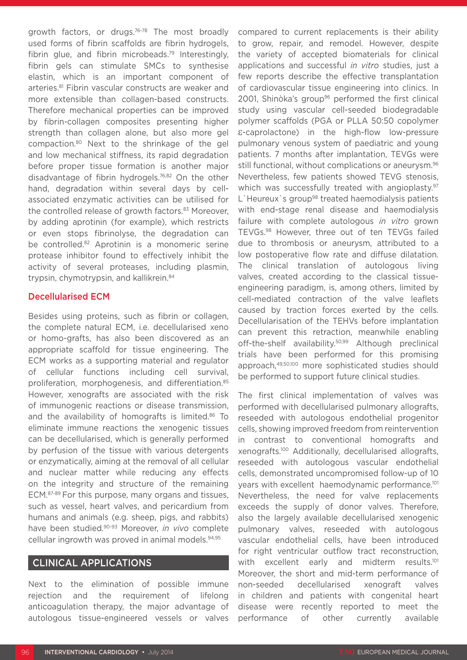growth factors, or drugs.76-78 The most broadly used forms of fibrin scaffolds are fibrin hydrogels, fibrin glue, and fibrin microbeads.79 Interestingly, fibrin gels can stimulate SMCs to synthesise elastin, which is an important component of arteries.81 Fibrin vascular constructs are weaker and more extensible than collagen-based constructs. Therefore mechanical properties can be improved by fibrin-collagen composites presenting higher strength than collagen alone, but also more gel compaction.80 Next to the shrinkage of the gel and low mechanical stiffness, its rapid degradation before proper tissue formation is another major disadvantage of fibrin hydrogels.76,82 On the other hand, degradation within several days by cellassociated enzymatic activities can be utilised for the controlled release of growth factors.<sup>83</sup> Moreover, by adding aprotinin (for example), which restricts or even stops fibrinolyse, the degradation can be controlled.<sup>82</sup> Aprotinin is a monomeric serine protease inhibitor found to effectively inhibit the activity of several proteases, including plasmin, trypsin, chymotrypsin, and kallikrein.<sup>84</sup>

# Decellularised ECM

Besides using proteins, such as fibrin or collagen, the complete natural ECM, i.e. decellularised xeno or homo-grafts, has also been discovered as an appropriate scaffold for tissue engineering. The ECM works as a supporting material and regulator of cellular functions including cell survival, proliferation, morphogenesis, and differentiation.<sup>85</sup> However, xenografts are associated with the risk of immunogenic reactions or disease transmission, and the availability of homografts is limited.<sup>86</sup> To eliminate immune reactions the xenogenic tissues can be decellularised, which is generally performed by perfusion of the tissue with various detergents or enzymatically, aiming at the removal of all cellular and nuclear matter while reducing any effects on the integrity and structure of the remaining ECM.87-89 For this purpose, many organs and tissues, such as vessel, heart valves, and pericardium from humans and animals (e.g. sheep, pigs, and rabbits) have been studied.90-93 Moreover, *in vivo* complete cellular ingrowth was proved in animal models.94,95

# CLINICAL APPLICATIONS

Next to the elimination of possible immune rejection and the requirement of lifelong anticoagulation therapy, the major advantage of autologous tissue-engineered vessels or valves

compared to current replacements is their ability to grow, repair, and remodel. However, despite the variety of accepted biomaterials for clinical applications and successful *in vitro* studies, just a few reports describe the effective transplantation of cardiovascular tissue engineering into clinics. In 2001, Shinòka's group<sup>96</sup> performed the first clinical study using vascular cell-seeded biodegradable polymer scaffolds (PGA or PLLA 50:50 copolymer ε-caprolactone) in the high-flow low-pressure pulmonary venous system of paediatric and young patients. 7 months after implantation, TEVGs were still functional, without complications or aneurysm.<sup>96</sup> Nevertheless, few patients showed TEVG stenosis, which was successfully treated with angioplasty.<sup>97</sup> L'Heureux's group<sup>98</sup> treated haemodialysis patients with end-stage renal disease and haemodialysis failure with complete autologous *in vitro* grown TEVGs.98 However, three out of ten TEVGs failed due to thrombosis or aneurysm, attributed to a low postoperative flow rate and diffuse dilatation. The clinical translation of autologous living valves, created according to the classical tissueengineering paradigm, is, among others, limited by cell-mediated contraction of the valve leaflets caused by traction forces exerted by the cells. Decellularisation of the TEHVs before implantation can prevent this retraction, meanwhile enabling off-the-shelf availability.50,99 Although preclinical trials have been performed for this promising approach,49,50,100 more sophisticated studies should be performed to support future clinical studies.

The first clinical implementation of valves was performed with decellularised pulmonary allografts, reseeded with autologous endothelial progenitor cells, showing improved freedom from reintervention in contrast to conventional homografts and xenografts.100 Additionally, decellularised allografts, reseeded with autologous vascular endothelial cells, demonstrated uncompromised follow-up of 10 years with excellent haemodynamic performance.<sup>101</sup> Nevertheless, the need for valve replacements exceeds the supply of donor valves. Therefore, also the largely available decellularised xenogenic pulmonary valves, reseeded with autologous vascular endothelial cells, have been introduced for right ventricular outflow tract reconstruction, with excellent early and midterm results.<sup>101</sup> Moreover, the short and mid-term performance of non-seeded decellularised xenograft valves in children and patients with congenital heart disease were recently reported to meet the performance of other currently available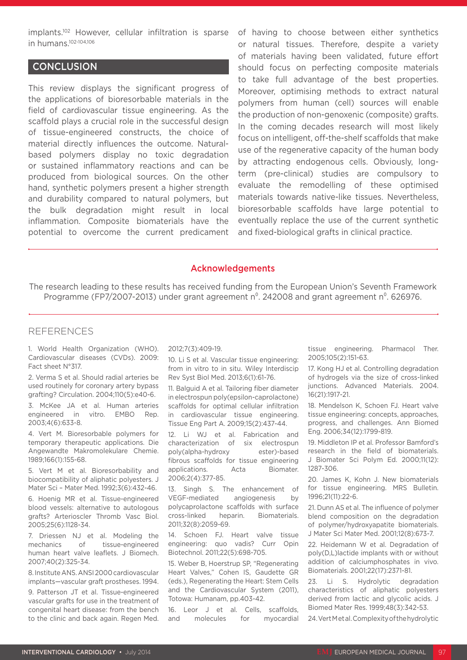implants.102 However, cellular infiltration is sparse in humans.102-104,106

# **CONCLUSION**

This review displays the significant progress of the applications of bioresorbable materials in the field of cardiovascular tissue engineering. As the scaffold plays a crucial role in the successful design of tissue-engineered constructs, the choice of material directly influences the outcome. Naturalbased polymers display no toxic degradation or sustained inflammatory reactions and can be produced from biological sources. On the other hand, synthetic polymers present a higher strength and durability compared to natural polymers, but the bulk degradation might result in local inflammation. Composite biomaterials have the potential to overcome the current predicament

of having to choose between either synthetics or natural tissues. Therefore, despite a variety of materials having been validated, future effort should focus on perfecting composite materials to take full advantage of the best properties. Moreover, optimising methods to extract natural polymers from human (cell) sources will enable the production of non-genoxenic (composite) grafts. In the coming decades research will most likely focus on intelligent, off-the-shelf scaffolds that make use of the regenerative capacity of the human body by attracting endogenous cells. Obviously, longterm (pre-clinical) studies are compulsory to evaluate the remodelling of these optimised materials towards native-like tissues. Nevertheless, bioresorbable scaffolds have large potential to eventually replace the use of the current synthetic and fixed-biological grafts in clinical practice.

#### Acknowledgements

The research leading to these results has received funding from the European Union's Seventh Framework Programme (FP7/2007-2013) under grant agreement  $n^{\circ}$ . 242008 and grant agreement  $n^{\circ}$ . 626976.

#### REFERENCES

1. World Health Organization (WHO). Cardiovascular diseases (CVDs). 2009: Fact sheet N°317.

2. Verma S et al. Should radial arteries be used routinely for coronary artery bypass grafting? Circulation. 2004;110(5):e40-6.

3. McKee JA et al. Human arteries engineered in vitro. EMBO Rep. 2003;4(6):633-8.

4. Vert M. Bioresorbable polymers for temporary therapeutic applications. Die Angewandte Makromolekulare Chemie. 1989;166(1):155-68.

5. Vert M et al. Bioresorbability and biocompatibility of aliphatic polyesters. J Mater Sci – Mater Med. 1992;3(6):432-46.

6. Hoenig MR et al. Tissue-engineered blood vessels: alternative to autologous grafts? Arterioscler Thromb Vasc Biol. 2005;25(6):1128-34.

7. Driessen NJ et al. Modeling the mechanics of tissue-engineered human heart valve leaflets. J Biomech. 2007;40(2):325-34.

8. Institute ANS. ANSI 2000 cardiovascular implants—vascular graft prostheses. 1994.

9. Patterson JT et al. Tissue-engineered vascular grafts for use in the treatment of congenital heart disease: from the bench to the clinic and back again. Regen Med.

#### 2012;7(3):409-19.

10. Li S et al. Vascular tissue engineering: from in vitro to in situ. Wiley Interdiscip Rev Syst Biol Med. 2013;6(1):61-76.

11. Balguid A et al. Tailoring fiber diameter in electrospun poly(epsilon-caprolactone) scaffolds for optimal cellular infiltration in cardiovascular tissue engineering. Tissue Eng Part A. 2009;15(2):437-44.

12. Li WJ et al. Fabrication and characterization of six electrospun poly(alpha-hydroxy ester)-based fibrous scaffolds for tissue engineering applications. Acta Biomater. 2006;2(4):377-85.

13. Singh S. The enhancement of VEGF-mediated angiogenesis by polycaprolactone scaffolds with surface cross-linked heparin. Biomaterials. 2011;32(8):2059-69.

14. Schoen FJ. Heart valve tissue engineering: quo vadis? Curr Opin Biotechnol. 2011;22(5):698-705.

15. Weber B, Hoerstrup SP, "Regenerating Heart Valves," Cohen IS, Gaudette GR (eds.), Regenerating the Heart: Stem Cells and the Cardiovascular System (2011), Totowa: Humanam, pp.403-42.

16. Leor J et al. Cells, scaffolds, and molecules for myocardial tissue engineering. Pharmacol Ther. 2005;105(2):151-63.

17. Kong HJ et al. Controlling degradation of hydrogels via the size of cross-linked junctions. Advanced Materials. 2004. 16(21):1917-21.

18. Mendelson K, Schoen FJ. Heart valve tissue engineering: concepts, approaches, progress, and challenges. Ann Biomed Eng. 2006;34(12):1799-819.

19. Middleton IP et al. Professor Bamford's research in the field of biomaterials. J Biomater Sci Polym Ed. 2000;11(12): 1287-306.

20. James K, Kohn J. New biomaterials for tissue engineering. MRS Bulletin. 1996;21(11):22-6.

21. Dunn AS et al. The influence of polymer blend composition on the degradation of polymer/hydroxyapatite biomaterials. J Mater Sci Mater Med. 2001;12(8):673-7.

22. Heidemann W et al. Degradation of poly(D,L)lactide implants with or without addition of calciumphosphates in vivo. Biomaterials. 2001;22(17):2371-81.

23. Li S. Hydrolytic degradation characteristics of aliphatic polyesters derived from lactic and glycolic acids. J Biomed Mater Res. 1999;48(3):342-53.

24. Vert Met al. Complexity of the hydrolytic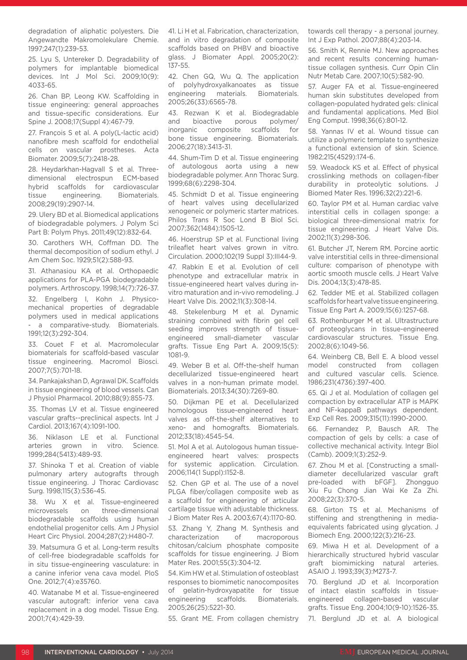degradation of aliphatic polyesters. Die Angewandte Makromolekulare Chemie. 1997;247(1):239-53.

25. Lyu S, Untereker D. Degradability of polymers for implantable biomedical devices. Int J Mol Sci. 2009;10(9): 4033-65.

26. Chan BP, Leong KW. Scaffolding in tissue engineering: general approaches and tissue-specific considerations. Eur Spine J. 2008;17(Suppl 4):467-79.

27. François S et al. A poly(L-lactic acid) nanofibre mesh scaffold for endothelial cells on vascular prostheses. Acta Biomater. 2009;5(7):2418-28.

28. Heydarkhan-Hagvall S et al. Threedimensional electrospun ECM-based hybrid scaffolds for cardiovascular tissue engineering. Biomaterials. 2008;29(19):2907-14.

29. Ulery BD et al. Biomedical applications of biodegradable polymers. J Polym Sci Part B: Polym Phys. 2011;49(12):832-64.

30. Carothers WH, Coffman DD. The thermal decomposition of sodium ethyl. J Am Chem Soc. 1929;51(2):588-93.

31. Athanasiou KA et al. Orthopaedic applications for PLA-PGA biodegradable polymers. Arthroscopy. 1998;14(7):726-37.

32. Engelberg I, Kohn J. Physicomechanical properties of degradable polymers used in medical applications a comparative-study. Biomaterials. 1991;12(3):292-304.

33. Couet F et al. Macromolecular biomaterials for scaffold-based vascular tissue engineering. Macromol Biosci. 2007;7(5):701-18.

34. Pankajakshan D, Agrawal DK. Scaffolds in tissue engineering of blood vessels. Can J Physiol Pharmacol. 2010;88(9):855-73.

35. Thomas LV et al. Tissue engineered vascular grafts--preclinical aspects. Int J Cardiol. 2013;167(4):1091-100.

36. Niklason LE et al. Functional arteries grown in vitro. Science. 1999;284(5413):489-93.

37. Shinoka T et al. Creation of viable pulmonary artery autografts through tissue engineering. J Thorac Cardiovasc Surg. 1998;115(3):536-45.

38. Wu X et al. Tissue-engineered microvessels on three-dimensional biodegradable scaffolds using human endothelial progenitor cells. Am J Physiol Heart Circ Physiol. 2004;287(2):H480-7.

39. Matsumura G et al. Long-term results of cell-free biodegradable scaffolds for in situ tissue-engineering vasculature: in a canine inferior vena cava model. PloS One. 2012;7(4):e35760.

40. Watanabe M et al. Tissue-engineered vascular autograft: inferior vena cava replacement in a dog model. Tissue Eng. 2001;7(4):429-39.

41. Li H et al. Fabrication, characterization, and in vitro degradation of composite scaffolds based on PHBV and bioactive glass. J Biomater Appl. 2005;20(2): 137-55.

42. Chen GQ, Wu Q. The application of polyhydroxyalkanoates as tissue engineering materials. Biomaterials. 2005;26(33):6565-78.

43. Rezwan K et al. Biodegradable and bioactive porous polymer/ inorganic composite scaffolds for bone tissue engineering. Biomaterials. 2006;27(18):3413-31.

44. Shum-Tim D et al. Tissue engineering of autologous aorta using a new biodegradable polymer. Ann Thorac Surg. 1999;68(6):2298-304.

45. Schmidt D et al. Tissue engineering of heart valves using decellularized xenogeneic or polymeric starter matrices. Philos Trans R Soc Lond B Biol Sci. 2007;362(1484):1505-12.

46. Hoerstrup SP et al. Functional living trileaflet heart valves grown in vitro. Circulation. 2000;102(19 Suppl 3):III44-9.

47. Rabkin E et al. Evolution of cell phenotype and extracellular matrix in tissue-engineered heart valves during invitro maturation and in-vivo remodeling. J Heart Valve Dis. 2002;11(3):308-14.

48. Stekelenburg M et al. Dynamic straining combined with fibrin gel cell seeding improves strength of tissueengineered small-diameter vascular grafts. Tissue Eng Part A. 2009;15(5): 1081-9.

49. Weber B et al. Off-the-shelf human decellularized tissue-engineered heart valves in a non-human primate model. Biomaterials. 2013;34(30):7269-80.

50. Dijkman PE et al. Decellularized homologous tissue-engineered heart valves as off-the-shelf alternatives to xeno- and homografts. Biomaterials. 2012;33(18):4545-54.

51. Mol A et al. Autologous human tissueengineered heart valves: prospects for systemic application. Circulation. 2006;114(1 Suppl):I152-8.

52. Chen GP et al. The use of a novel PLGA fiber/collagen composite web as a scaffold for engineering of articular cartilage tissue with adjustable thickness. J Biom Mater Res A. 2003;67(4):1170-80.

53. Zhang Y, Zhang M. Synthesis and characterization of macroporous chitosan/calcium phosphate composite scaffolds for tissue engineering. J Biom Mater Res. 2001;55(3):304-12.

54. Kim HW et al. Stimulation of osteoblast responses to biomimetic nanocomposites of gelatin-hydroxyapatite for tissue engineering scaffolds. Biomaterials. 2005;26(25):5221-30.

55. Grant ME. From collagen chemistry

towards cell therapy - a personal journey. Int J Exp Pathol. 2007;88(4):203-14.

56. Smith K, Rennie MJ. New approaches and recent results concerning humantissue collagen synthesis. Curr Opin Clin Nutr Metab Care. 2007;10(5):582-90.

57. Auger FA et al. Tissue-engineered human skin substitutes developed from collagen-populated hydrated gels: clinical and fundamental applications. Med Biol Eng Comput. 1998;36(6):801-12.

58. Yannas IV et al. Wound tissue can utilize a polymeric template to synthesize a functional extension of skin. Science. 1982;215(4529):174-6.

59. Weadock KS et al. Effect of physical crosslinking methods on collagen-fiber durability in proteolytic solutions. J Biomed Mater Res. 1996;32(2):221-6.

60. Taylor PM et al. Human cardiac valve interstitial cells in collagen sponge: a biological three-dimensional matrix for tissue engineering. J Heart Valve Dis. 2002;11(3):298-306.

61. Butcher JT, Nerem RM. Porcine aortic valve interstitial cells in three-dimensional culture: comparison of phenotype with aortic smooth muscle cells. J Heart Valve Dis. 2004;13(3):478-85.

62. Tedder ME et al. Stabilized collagen scaffolds for heart valve tissue engineering. Tissue Eng Part A. 2009;15(6):1257-68.

63. Rothenburger M et al. Ultrastructure of proteoglycans in tissue-engineered cardiovascular structures. Tissue Eng. 2002;8(6):1049-56.

64. Weinberg CB, Bell E. A blood vessel model constructed from collagen and cultured vascular cells. Science. 1986;231(4736):397-400.

65. Qi J et al. Modulation of collagen gel compaction by extracellular ATP is MAPK and NF-kappaB pathways dependent. Exp Cell Res. 2009;315(11):1990-2000.

66. Fernandez P, Bausch AR. The compaction of gels by cells: a case of collective mechanical activity. Integr Biol (Camb). 2009;1(3):252-9.

67. Zhou M et al. [Constructing a smalldiameter decellularized vascular graft pre-loaded with bFGF]. Zhongguo Xiu Fu Chong Jian Wai Ke Za Zhi. 2008;22(3):370-5.

68. Girton TS et al. Mechanisms of stiffening and strengthening in mediaequivalents fabricated using glycation. J Biomech Eng. 2000;122(3):216-23.

69. Miwa H et al. Development of a hierarchically structured hybrid vascular graft biomimicking natural arteries. ASAIO J. 1993;39(3):M273-7.

70. Berglund JD et al. Incorporation of intact elastin scaffolds in tissueengineered collagen-based vascular grafts. Tissue Eng. 2004;10(9-10):1526-35.